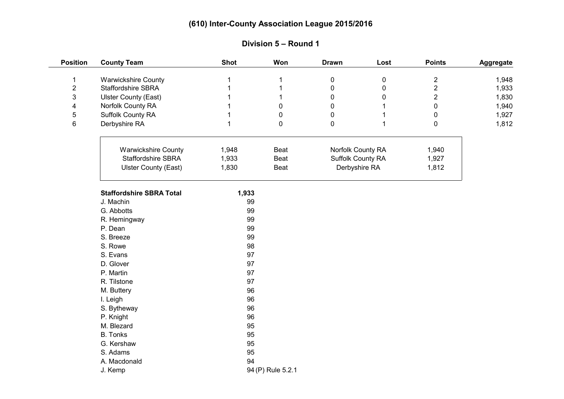| <b>Position</b> | <b>County Team</b>              | <b>Shot</b> | Won               | <b>Drawn</b>      | Lost | <b>Points</b>  | <b>Aggregate</b> |
|-----------------|---------------------------------|-------------|-------------------|-------------------|------|----------------|------------------|
| 1               | <b>Warwickshire County</b>      |             |                   | $\pmb{0}$         | 0    | $\mathbf{2}$   | 1,948            |
| $\overline{2}$  | Staffordshire SBRA              |             |                   | $\mathbf 0$       | 0    | $\overline{2}$ | 1,933            |
| 3               | <b>Ulster County (East)</b>     |             | 1                 | 0                 | 0    | $\overline{2}$ | 1,830            |
| 4               | Norfolk County RA               |             | 0                 | 0                 |      | $\overline{0}$ | 1,940            |
| 5               | Suffolk County RA               |             | 0                 | 0                 |      | 0              | 1,927            |
| 6               | Derbyshire RA                   |             | 0                 | $\mathbf 0$       |      | 0              | 1,812            |
|                 | <b>Warwickshire County</b>      | 1,948       | Beat              | Norfolk County RA |      | 1,940          |                  |
|                 | Staffordshire SBRA              | 1,933       | Beat              | Suffolk County RA |      | 1,927          |                  |
|                 | <b>Ulster County (East)</b>     | 1,830       | Beat              | Derbyshire RA     |      | 1,812          |                  |
|                 | <b>Staffordshire SBRA Total</b> | 1,933       |                   |                   |      |                |                  |
|                 | J. Machin                       | 99          |                   |                   |      |                |                  |
|                 | G. Abbotts                      | 99          |                   |                   |      |                |                  |
|                 | R. Hemingway                    | 99          |                   |                   |      |                |                  |
|                 | P. Dean                         | 99          |                   |                   |      |                |                  |
|                 | S. Breeze                       | 99          |                   |                   |      |                |                  |
|                 | S. Rowe                         | 98          |                   |                   |      |                |                  |
|                 | S. Evans                        | 97          |                   |                   |      |                |                  |
|                 | D. Glover                       | 97          |                   |                   |      |                |                  |
|                 | P. Martin                       | 97          |                   |                   |      |                |                  |
|                 | R. Tilstone                     | 97          |                   |                   |      |                |                  |
|                 | M. Buttery                      | 96          |                   |                   |      |                |                  |
|                 | I. Leigh                        | 96          |                   |                   |      |                |                  |
|                 | S. Bytheway                     | 96          |                   |                   |      |                |                  |
|                 | P. Knight                       | 96          |                   |                   |      |                |                  |
|                 | M. Blezard                      | 95          |                   |                   |      |                |                  |
|                 | <b>B.</b> Tonks                 | 95          |                   |                   |      |                |                  |
|                 | G. Kershaw                      | 95          |                   |                   |      |                |                  |
|                 | S. Adams                        | 95          |                   |                   |      |                |                  |
|                 | A. Macdonald                    | 94          |                   |                   |      |                |                  |
|                 | J. Kemp                         |             | 94 (P) Rule 5.2.1 |                   |      |                |                  |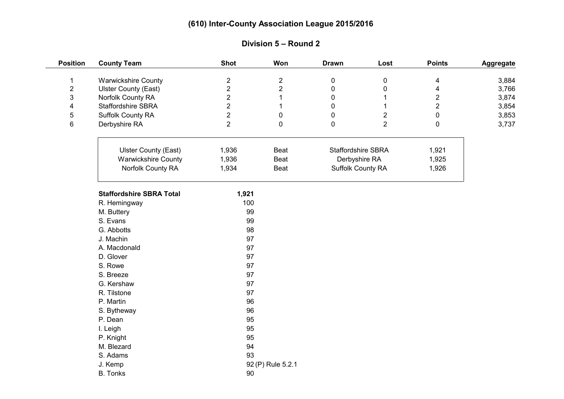| <b>Position</b> | <b>County Team</b>              | <b>Shot</b>    | Won               | <b>Drawn</b>              | Lost           | <b>Points</b>  | Aggregate |
|-----------------|---------------------------------|----------------|-------------------|---------------------------|----------------|----------------|-----------|
| 1               | <b>Warwickshire County</b>      | $\overline{c}$ | $\overline{2}$    | $\pmb{0}$                 | $\pmb{0}$      | 4              | 3,884     |
| $\overline{c}$  | <b>Ulster County (East)</b>     | $\overline{c}$ | $\overline{c}$    | $\pmb{0}$                 | 0              | 4              | 3,766     |
| 3               | Norfolk County RA               | $\overline{2}$ |                   | $\pmb{0}$                 |                | $\overline{2}$ | 3,874     |
| 4               | Staffordshire SBRA              | $\overline{2}$ | 1                 | $\mathbf 0$               |                | $\overline{2}$ | 3,854     |
| 5               | Suffolk County RA               | $\overline{2}$ | $\pmb{0}$         | $\mathbf 0$               | $\overline{2}$ | $\pmb{0}$      | 3,853     |
| 6               | Derbyshire RA                   | $\overline{2}$ | $\pmb{0}$         | $\mathbf 0$               | $\overline{2}$ | $\mathbf 0$    | 3,737     |
|                 |                                 |                |                   |                           |                |                |           |
|                 | <b>Ulster County (East)</b>     | 1,936          | Beat              | <b>Staffordshire SBRA</b> |                | 1,921          |           |
|                 | <b>Warwickshire County</b>      | 1,936          | Beat              | Derbyshire RA             |                | 1,925          |           |
|                 | Norfolk County RA               | 1,934          | Beat              | Suffolk County RA         |                | 1,926          |           |
|                 | <b>Staffordshire SBRA Total</b> | 1,921          |                   |                           |                |                |           |
|                 | R. Hemingway                    | 100            |                   |                           |                |                |           |
|                 | M. Buttery                      | 99             |                   |                           |                |                |           |
|                 | S. Evans                        | 99             |                   |                           |                |                |           |
|                 | G. Abbotts                      | 98             |                   |                           |                |                |           |
|                 | J. Machin                       | 97             |                   |                           |                |                |           |
|                 | A. Macdonald                    | 97             |                   |                           |                |                |           |
|                 | D. Glover                       | 97             |                   |                           |                |                |           |
|                 | S. Rowe                         | 97             |                   |                           |                |                |           |
|                 | S. Breeze                       | 97             |                   |                           |                |                |           |
|                 | G. Kershaw                      | 97             |                   |                           |                |                |           |
|                 | R. Tilstone                     | 97             |                   |                           |                |                |           |
|                 | P. Martin                       | 96             |                   |                           |                |                |           |
|                 | S. Bytheway                     | 96             |                   |                           |                |                |           |
|                 | P. Dean                         | 95             |                   |                           |                |                |           |
|                 | I. Leigh                        | 95             |                   |                           |                |                |           |
|                 | P. Knight                       | 95             |                   |                           |                |                |           |
|                 | M. Blezard                      | 94             |                   |                           |                |                |           |
|                 | S. Adams                        | 93             |                   |                           |                |                |           |
|                 | J. Kemp                         |                | 92 (P) Rule 5.2.1 |                           |                |                |           |
|                 | <b>B.</b> Tonks                 | 90             |                   |                           |                |                |           |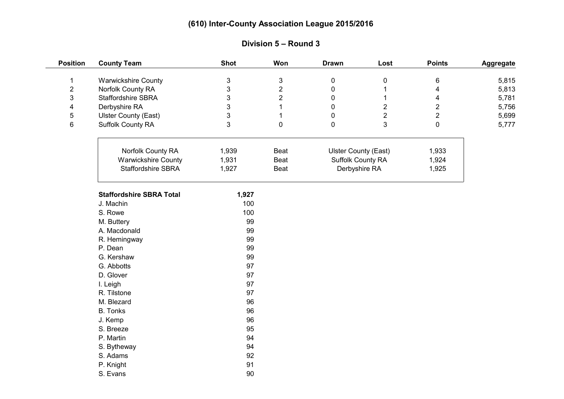| <b>Position</b> | <b>County Team</b>              | <b>Shot</b> | Won            | <b>Drawn</b>                | Lost           | <b>Points</b>  | Aggregate |
|-----------------|---------------------------------|-------------|----------------|-----------------------------|----------------|----------------|-----------|
| $\mathbf 1$     | <b>Warwickshire County</b>      | 3           | $\sqrt{3}$     | $\pmb{0}$                   | 0              | 6              | 5,815     |
| $\overline{2}$  | Norfolk County RA               | 3           | $\overline{2}$ | $\pmb{0}$                   |                | 4              | 5,813     |
| 3               | Staffordshire SBRA              | 3           | $\overline{2}$ | 0                           |                | 4              | 5,781     |
| 4               | Derbyshire RA                   | 3           | 1              | 0                           | $\mathbf{2}$   | $\overline{2}$ | 5,756     |
| 5               | <b>Ulster County (East)</b>     | 3           | 1              | $\mathbf 0$                 | $\overline{2}$ | $\overline{2}$ | 5,699     |
| 6               | Suffolk County RA               | 3           | $\pmb{0}$      | $\mathbf 0$                 | 3              | $\mathbf 0$    | 5,777     |
|                 |                                 |             |                |                             |                |                |           |
|                 | Norfolk County RA               | 1,939       | Beat           | <b>Ulster County (East)</b> |                | 1,933          |           |
|                 | <b>Warwickshire County</b>      | 1,931       | Beat           | Suffolk County RA           |                | 1,924          |           |
|                 | Staffordshire SBRA              | 1,927       | Beat           | Derbyshire RA               |                | 1,925          |           |
|                 | <b>Staffordshire SBRA Total</b> | 1,927       |                |                             |                |                |           |
|                 | J. Machin                       | 100         |                |                             |                |                |           |
|                 | S. Rowe                         | 100         |                |                             |                |                |           |
|                 | M. Buttery                      | 99          |                |                             |                |                |           |
|                 | A. Macdonald                    | 99          |                |                             |                |                |           |
|                 | R. Hemingway                    | 99          |                |                             |                |                |           |
|                 | P. Dean                         | 99          |                |                             |                |                |           |
|                 | G. Kershaw                      | 99          |                |                             |                |                |           |
|                 | G. Abbotts                      | 97          |                |                             |                |                |           |
|                 | D. Glover                       | 97          |                |                             |                |                |           |
|                 | I. Leigh                        | 97          |                |                             |                |                |           |
|                 | R. Tilstone                     | 97          |                |                             |                |                |           |
|                 | M. Blezard                      | 96          |                |                             |                |                |           |
|                 | <b>B.</b> Tonks                 | 96          |                |                             |                |                |           |
|                 | J. Kemp                         | 96          |                |                             |                |                |           |
|                 | S. Breeze                       | 95          |                |                             |                |                |           |
|                 | P. Martin                       | 94          |                |                             |                |                |           |
|                 | S. Bytheway                     | 94          |                |                             |                |                |           |
|                 | S. Adams                        | 92          |                |                             |                |                |           |
|                 | P. Knight                       | 91          |                |                             |                |                |           |
|                 | S. Evans                        | 90          |                |                             |                |                |           |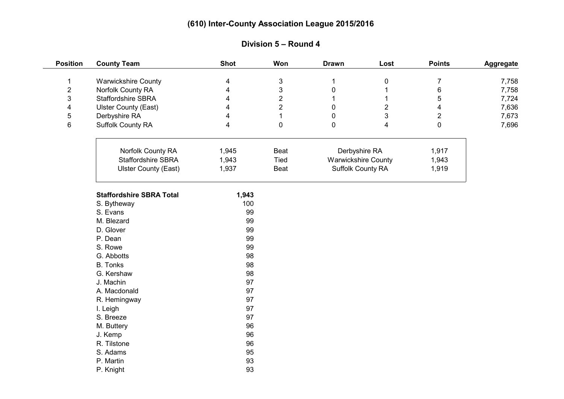| <b>Position</b>         | <b>County Team</b>              | <b>Shot</b> | Won                       | <b>Drawn</b>               | Lost           | <b>Points</b>           | Aggregate |
|-------------------------|---------------------------------|-------------|---------------------------|----------------------------|----------------|-------------------------|-----------|
| 1                       | <b>Warwickshire County</b>      | 4           | $\ensuremath{\mathsf{3}}$ | 1                          | 0              | $\boldsymbol{7}$        | 7,758     |
| $\overline{2}$          | Norfolk County RA               | 4           | $\mathfrak{S}$            | $\mathbf 0$                |                | $\,6\,$                 | 7,758     |
| 3                       | <b>Staffordshire SBRA</b>       | 4           | $\overline{2}$            | 1                          | 1              | 5                       | 7,724     |
| $\overline{\mathbf{4}}$ | <b>Ulster County (East)</b>     | 4           | $\overline{2}$            | 0                          | $\overline{2}$ | $\overline{\mathbf{4}}$ | 7,636     |
| 5                       | Derbyshire RA                   | 4           | 1                         | $\mathbf 0$                | 3              | $\overline{2}$          | 7,673     |
| $\,6\,$                 | Suffolk County RA               | 4           | 0                         | $\mathbf 0$                | 4              | $\pmb{0}$               | 7,696     |
|                         |                                 |             |                           |                            |                |                         |           |
|                         | Norfolk County RA               | 1,945       | Beat                      | Derbyshire RA              |                | 1,917                   |           |
|                         | <b>Staffordshire SBRA</b>       | 1,943       | Tied                      | <b>Warwickshire County</b> |                | 1,943                   |           |
|                         | <b>Ulster County (East)</b>     | 1,937       | Beat                      | Suffolk County RA          |                | 1,919                   |           |
|                         | <b>Staffordshire SBRA Total</b> | 1,943       |                           |                            |                |                         |           |
|                         |                                 | 100         |                           |                            |                |                         |           |
|                         | S. Bytheway<br>S. Evans         | 99          |                           |                            |                |                         |           |
|                         | M. Blezard                      | 99          |                           |                            |                |                         |           |
|                         | D. Glover                       | 99          |                           |                            |                |                         |           |
|                         | P. Dean                         | 99          |                           |                            |                |                         |           |
|                         | S. Rowe                         | 99          |                           |                            |                |                         |           |
|                         | G. Abbotts                      | 98          |                           |                            |                |                         |           |
|                         | <b>B.</b> Tonks                 | 98          |                           |                            |                |                         |           |
|                         | G. Kershaw                      | 98          |                           |                            |                |                         |           |
|                         | J. Machin                       | 97          |                           |                            |                |                         |           |
|                         | A. Macdonald                    | 97          |                           |                            |                |                         |           |
|                         | R. Hemingway                    | 97          |                           |                            |                |                         |           |
|                         | I. Leigh                        | 97          |                           |                            |                |                         |           |
|                         | S. Breeze                       | 97          |                           |                            |                |                         |           |
|                         | M. Buttery                      | 96          |                           |                            |                |                         |           |
|                         | J. Kemp                         | 96          |                           |                            |                |                         |           |
|                         | R. Tilstone                     | 96          |                           |                            |                |                         |           |
|                         | S. Adams                        | 95          |                           |                            |                |                         |           |
|                         | P. Martin                       | 93          |                           |                            |                |                         |           |
|                         | P. Knight                       | 93          |                           |                            |                |                         |           |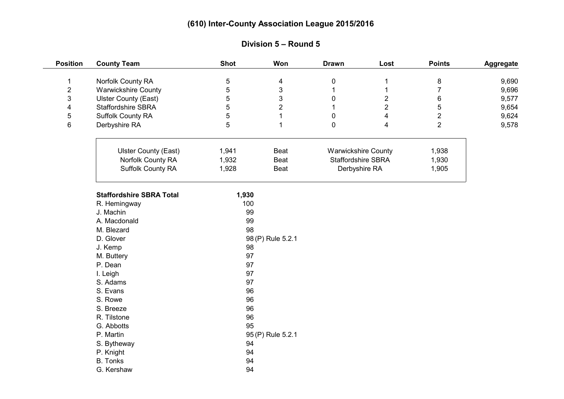| <b>Position</b> | <b>County Team</b>              | <b>Shot</b>       | Won               | <b>Drawn</b>                        | Lost           | <b>Points</b>  | Aggregate |
|-----------------|---------------------------------|-------------------|-------------------|-------------------------------------|----------------|----------------|-----------|
| 1               | Norfolk County RA               | 5                 | 4                 | 0                                   | 1              | 8              | 9,690     |
| $\sqrt{2}$      | <b>Warwickshire County</b>      | 5                 | $\mathsf 3$       | $\mathbf 1$                         | 1              | $\overline{7}$ | 9,696     |
| 3               | <b>Ulster County (East)</b>     | 5                 | 3                 | 0                                   | $\overline{2}$ | 6              | 9,577     |
| 4               | Staffordshire SBRA              | 5                 | 2                 |                                     | $\overline{2}$ | $\sqrt{5}$     | 9,654     |
| 5               | Suffolk County RA               | 5                 | 1                 | 0                                   | 4              | $\overline{2}$ | 9,624     |
| $\,6\,$         | Derbyshire RA                   | 5                 | $\mathbf{1}$      | 0                                   | 4              | $\overline{2}$ | 9,578     |
|                 |                                 |                   |                   |                                     |                |                |           |
|                 | <b>Ulster County (East)</b>     | 1,941             | Beat              | <b>Warwickshire County</b>          |                | 1,938          |           |
|                 | Norfolk County RA               | 1,932             | Beat              | Staffordshire SBRA<br>Derbyshire RA |                | 1,930          |           |
|                 | Suffolk County RA               | 1,928             | Beat              |                                     |                | 1,905          |           |
|                 | <b>Staffordshire SBRA Total</b> | 1,930             |                   |                                     |                |                |           |
|                 | R. Hemingway                    | 100               |                   |                                     |                |                |           |
|                 | J. Machin                       | 99                |                   |                                     |                |                |           |
|                 | A. Macdonald                    | 99                |                   |                                     |                |                |           |
|                 | M. Blezard                      | 98                |                   |                                     |                |                |           |
|                 | D. Glover                       | 98 (P) Rule 5.2.1 |                   |                                     |                |                |           |
|                 | J. Kemp                         | 98                |                   |                                     |                |                |           |
|                 | M. Buttery                      | 97                |                   |                                     |                |                |           |
|                 | P. Dean                         | 97                |                   |                                     |                |                |           |
|                 | I. Leigh                        | 97                |                   |                                     |                |                |           |
|                 | S. Adams                        | 97                |                   |                                     |                |                |           |
|                 | S. Evans                        | 96                |                   |                                     |                |                |           |
|                 | S. Rowe                         | 96                |                   |                                     |                |                |           |
|                 | S. Breeze                       | 96                |                   |                                     |                |                |           |
|                 | R. Tilstone                     | 96                |                   |                                     |                |                |           |
|                 | G. Abbotts                      | 95                |                   |                                     |                |                |           |
|                 | P. Martin                       |                   | 95 (P) Rule 5.2.1 |                                     |                |                |           |
|                 | S. Bytheway                     | 94                |                   |                                     |                |                |           |
|                 | P. Knight                       | 94                |                   |                                     |                |                |           |
|                 | <b>B.</b> Tonks                 | 94                |                   |                                     |                |                |           |
|                 | G. Kershaw                      | 94                |                   |                                     |                |                |           |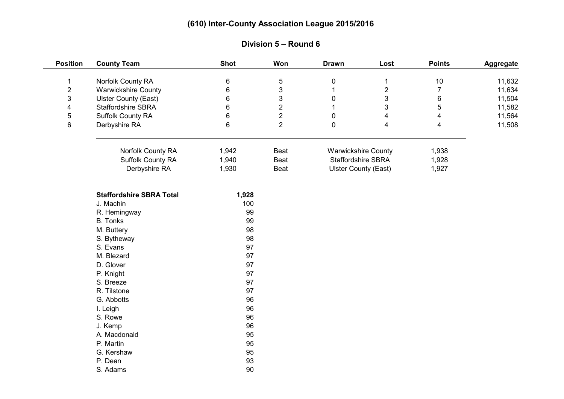| <b>Position</b>         | <b>County Team</b>              | <b>Shot</b> | Won                       | <b>Drawn</b>               | Lost                        | <b>Points</b>           | Aggregate |
|-------------------------|---------------------------------|-------------|---------------------------|----------------------------|-----------------------------|-------------------------|-----------|
| 1                       | Norfolk County RA               | 6           | $\mathbf 5$               | $\pmb{0}$                  | 1                           | $10$                    | 11,632    |
| $\overline{\mathbf{c}}$ | <b>Warwickshire County</b>      | 6           | $\ensuremath{\mathsf{3}}$ | 1                          | $\overline{\mathbf{c}}$     | $\overline{7}$          | 11,634    |
| 3                       | <b>Ulster County (East)</b>     | 6           | $\mathfrak{S}$            | $\mathbf 0$                | 3                           | $\,6\,$                 | 11,504    |
| $\overline{\mathbf{4}}$ | <b>Staffordshire SBRA</b>       | 6           | $\overline{2}$            | 1                          | 3                           | 5                       | 11,582    |
| 5                       | Suffolk County RA               | 6           | $\overline{2}$            | $\mathbf 0$                | 4                           | $\overline{\mathbf{4}}$ | 11,564    |
| 6                       | Derbyshire RA                   | 6           | $\overline{2}$            | $\mathbf 0$                | 4                           | 4                       | 11,508    |
|                         |                                 |             |                           |                            |                             |                         |           |
|                         | Norfolk County RA               | 1,942       | Beat                      | <b>Warwickshire County</b> |                             | 1,938                   |           |
|                         | Suffolk County RA               | 1,940       | Beat                      | Staffordshire SBRA         |                             | 1,928                   |           |
|                         | Derbyshire RA                   | 1,930       | Beat                      |                            | <b>Ulster County (East)</b> | 1,927                   |           |
|                         |                                 |             |                           |                            |                             |                         |           |
|                         | <b>Staffordshire SBRA Total</b> | 1,928       |                           |                            |                             |                         |           |
|                         | J. Machin                       | 100         |                           |                            |                             |                         |           |
|                         | R. Hemingway                    | 99          |                           |                            |                             |                         |           |
|                         | <b>B.</b> Tonks                 | 99          |                           |                            |                             |                         |           |
|                         | M. Buttery                      | 98          |                           |                            |                             |                         |           |
|                         | S. Bytheway                     | 98          |                           |                            |                             |                         |           |
|                         | S. Evans                        | 97          |                           |                            |                             |                         |           |
|                         | M. Blezard                      | 97          |                           |                            |                             |                         |           |
|                         | D. Glover                       | 97          |                           |                            |                             |                         |           |
|                         | P. Knight                       | 97          |                           |                            |                             |                         |           |
|                         | S. Breeze                       | 97          |                           |                            |                             |                         |           |
|                         | R. Tilstone                     | 97          |                           |                            |                             |                         |           |
|                         | G. Abbotts                      | 96          |                           |                            |                             |                         |           |
|                         | I. Leigh                        | 96          |                           |                            |                             |                         |           |
|                         | S. Rowe                         | 96          |                           |                            |                             |                         |           |
|                         | J. Kemp                         | 96          |                           |                            |                             |                         |           |
|                         | A. Macdonald                    | 95          |                           |                            |                             |                         |           |
|                         | P. Martin                       | 95          |                           |                            |                             |                         |           |
|                         | G. Kershaw                      | 95          |                           |                            |                             |                         |           |
|                         | P. Dean                         | 93          |                           |                            |                             |                         |           |
|                         | S. Adams                        | 90          |                           |                            |                             |                         |           |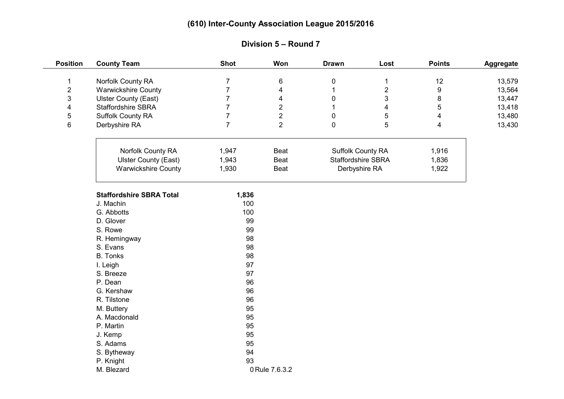| <b>Position</b>         | <b>County Team</b>              | <b>Shot</b>    | Won                     | <b>Drawn</b>       | Lost           | <b>Points</b>           | Aggregate |
|-------------------------|---------------------------------|----------------|-------------------------|--------------------|----------------|-------------------------|-----------|
| $\mathbf{1}$            | Norfolk County RA               | $\overline{7}$ | 6                       | 0                  | 1              | 12                      | 13,579    |
| $\overline{2}$          | <b>Warwickshire County</b>      | $\overline{7}$ | $\overline{\mathbf{4}}$ | 1                  | $\overline{2}$ | 9                       | 13,564    |
| 3                       | <b>Ulster County (East)</b>     | $\overline{7}$ | $\overline{\mathbf{4}}$ | 0                  | 3              | 8                       | 13,447    |
| $\overline{\mathbf{4}}$ | Staffordshire SBRA              | $\overline{7}$ | $\overline{2}$          | 1                  | 4              | 5                       | 13,418    |
| 5                       | <b>Suffolk County RA</b>        | $\overline{7}$ | $\overline{2}$          | 0                  | 5              | $\overline{\mathbf{4}}$ | 13,480    |
| 6                       | Derbyshire RA                   | $\overline{7}$ | $\overline{2}$          | 0                  | 5              | 4                       | 13,430    |
|                         |                                 |                |                         |                    |                |                         |           |
|                         | Norfolk County RA               | 1,947          | Beat                    | Suffolk County RA  |                | 1,916                   |           |
|                         | <b>Ulster County (East)</b>     | 1,943          | Beat                    | Staffordshire SBRA |                | 1,836                   |           |
|                         | <b>Warwickshire County</b>      | 1,930          | Beat                    | Derbyshire RA      |                | 1,922                   |           |
|                         | <b>Staffordshire SBRA Total</b> | 1,836          |                         |                    |                |                         |           |
|                         | J. Machin                       | 100            |                         |                    |                |                         |           |
|                         | G. Abbotts                      | 100            |                         |                    |                |                         |           |
|                         | D. Glover                       | 99             |                         |                    |                |                         |           |
|                         | S. Rowe                         | 99             |                         |                    |                |                         |           |
|                         | R. Hemingway                    | 98             |                         |                    |                |                         |           |
|                         | S. Evans                        | 98             |                         |                    |                |                         |           |
|                         | <b>B.</b> Tonks                 | 98             |                         |                    |                |                         |           |
|                         | I. Leigh                        | 97             |                         |                    |                |                         |           |
|                         | S. Breeze                       | 97             |                         |                    |                |                         |           |
|                         | P. Dean                         | 96             |                         |                    |                |                         |           |
|                         | G. Kershaw                      | 96             |                         |                    |                |                         |           |
|                         | R. Tilstone                     | 96             |                         |                    |                |                         |           |
|                         | M. Buttery                      | 95             |                         |                    |                |                         |           |
|                         | A. Macdonald                    | 95             |                         |                    |                |                         |           |
|                         | P. Martin                       | 95             |                         |                    |                |                         |           |
|                         | J. Kemp                         | 95             |                         |                    |                |                         |           |
|                         | S. Adams                        | 95             |                         |                    |                |                         |           |
|                         | S. Bytheway                     | 94             |                         |                    |                |                         |           |
|                         | P. Knight                       | 93             |                         |                    |                |                         |           |
|                         | M. Blezard                      | 0 Rule 7.6.3.2 |                         |                    |                |                         |           |

#### **Division 5 – Round 7**

 $\frac{1}{2}$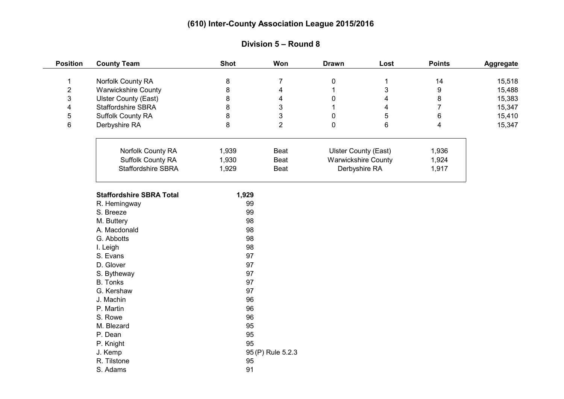| <b>Position</b> | <b>County Team</b>              | <b>Shot</b> | Won                     | <b>Drawn</b>                                              | Lost                    | <b>Points</b>           | Aggregate |
|-----------------|---------------------------------|-------------|-------------------------|-----------------------------------------------------------|-------------------------|-------------------------|-----------|
| $\mathbf{1}$    | Norfolk County RA               | 8           | $\overline{7}$          | 0                                                         | $\mathbf 1$             | 14                      | 15,518    |
| $\overline{2}$  | <b>Warwickshire County</b>      | 8           | 4                       | $\mathbf{1}$                                              | 3                       | $\boldsymbol{9}$        | 15,488    |
| 3               | <b>Ulster County (East)</b>     | 8           | $\overline{\mathbf{4}}$ | 0                                                         | $\overline{\mathbf{4}}$ | 8                       | 15,383    |
| $\overline{4}$  | Staffordshire SBRA              | 8           | 3                       | 1                                                         | 4                       | $\overline{7}$          | 15,347    |
| 5               | Suffolk County RA               | 8           | 3                       | 0                                                         | 5                       | $\,6\,$                 | 15,410    |
| 6               | Derbyshire RA                   | 8           | $\overline{2}$          | 0                                                         | 6                       | $\overline{\mathbf{4}}$ | 15,347    |
|                 | Norfolk County RA               | 1,939       | Beat                    |                                                           |                         | 1,936                   |           |
|                 | <b>Suffolk County RA</b>        | 1,930       | Beat                    | <b>Ulster County (East)</b><br><b>Warwickshire County</b> |                         | 1,924                   |           |
|                 | <b>Staffordshire SBRA</b>       | 1,929       | Beat                    |                                                           |                         | 1,917                   |           |
|                 |                                 |             |                         | Derbyshire RA                                             |                         |                         |           |
|                 | <b>Staffordshire SBRA Total</b> | 1,929       |                         |                                                           |                         |                         |           |
|                 | R. Hemingway                    | 99          |                         |                                                           |                         |                         |           |
|                 | S. Breeze                       | 99          |                         |                                                           |                         |                         |           |
|                 | M. Buttery                      | 98          |                         |                                                           |                         |                         |           |
|                 | A. Macdonald                    | 98          |                         |                                                           |                         |                         |           |
|                 | G. Abbotts                      | 98          |                         |                                                           |                         |                         |           |
|                 | I. Leigh                        | 98          |                         |                                                           |                         |                         |           |
|                 | S. Evans                        | 97          |                         |                                                           |                         |                         |           |
|                 | D. Glover                       | 97          |                         |                                                           |                         |                         |           |
|                 | S. Bytheway                     | 97          |                         |                                                           |                         |                         |           |
|                 | <b>B.</b> Tonks                 | 97          |                         |                                                           |                         |                         |           |
|                 | G. Kershaw                      | 97          |                         |                                                           |                         |                         |           |
|                 | J. Machin                       | 96          |                         |                                                           |                         |                         |           |
|                 | P. Martin                       | 96          |                         |                                                           |                         |                         |           |
|                 | S. Rowe                         | 96          |                         |                                                           |                         |                         |           |
|                 | M. Blezard                      | 95          |                         |                                                           |                         |                         |           |
|                 | P. Dean                         | 95          |                         |                                                           |                         |                         |           |
|                 | P. Knight                       | 95          |                         |                                                           |                         |                         |           |
|                 | J. Kemp                         |             | 95 (P) Rule 5.2.3       |                                                           |                         |                         |           |
|                 | R. Tilstone                     | 95          |                         |                                                           |                         |                         |           |
|                 | S. Adams                        | 91          |                         |                                                           |                         |                         |           |

# **Division 5 – Round 8**

 $\overline{\phantom{a}}$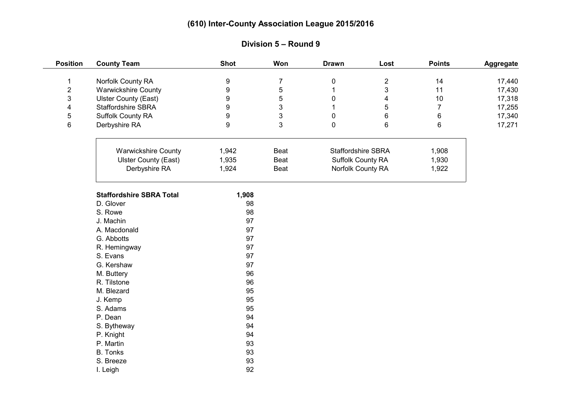| <b>Position</b>         | <b>County Team</b>              | <b>Shot</b>      | Won            | <b>Drawn</b>      | Lost                      | <b>Points</b>  | Aggregate |
|-------------------------|---------------------------------|------------------|----------------|-------------------|---------------------------|----------------|-----------|
| $\mathbf 1$             | Norfolk County RA               | $\boldsymbol{9}$ | $\overline{7}$ | $\pmb{0}$         | $\overline{2}$            | 14             | 17,440    |
| $\overline{\mathbf{c}}$ | <b>Warwickshire County</b>      | 9                | 5              |                   | 3                         | 11             | 17,430    |
| 3                       | <b>Ulster County (East)</b>     | 9                | 5              | $\pmb{0}$         | 4                         | 10             | 17,318    |
| 4                       | <b>Staffordshire SBRA</b>       | 9                | $\mathfrak{S}$ |                   | 5                         | $\overline{7}$ | 17,255    |
| 5                       | <b>Suffolk County RA</b>        | $\boldsymbol{9}$ | 3              | $\mathbf 0$       | 6                         | 6              | 17,340    |
| 6                       | Derbyshire RA                   | 9                | 3              | $\mathbf 0$       | 6                         | 6              | 17,271    |
|                         |                                 |                  |                |                   |                           |                |           |
|                         | <b>Warwickshire County</b>      | 1,942            | Beat           |                   | <b>Staffordshire SBRA</b> | 1,908          |           |
|                         | <b>Ulster County (East)</b>     | 1,935            | Beat           |                   | Suffolk County RA         | 1,930          |           |
|                         | Derbyshire RA                   | 1,924            | Beat           | Norfolk County RA |                           | 1,922          |           |
|                         | <b>Staffordshire SBRA Total</b> | 1,908            |                |                   |                           |                |           |
|                         | D. Glover                       | 98               |                |                   |                           |                |           |
|                         | S. Rowe                         | 98               |                |                   |                           |                |           |
|                         | J. Machin                       | 97               |                |                   |                           |                |           |
|                         | A. Macdonald                    | 97               |                |                   |                           |                |           |
|                         | G. Abbotts                      | 97               |                |                   |                           |                |           |
|                         | R. Hemingway                    | 97               |                |                   |                           |                |           |
|                         | S. Evans                        | 97               |                |                   |                           |                |           |
|                         | G. Kershaw                      | 97               |                |                   |                           |                |           |
|                         | M. Buttery                      | 96               |                |                   |                           |                |           |
|                         | R. Tilstone                     | 96               |                |                   |                           |                |           |
|                         | M. Blezard                      | 95               |                |                   |                           |                |           |
|                         | J. Kemp                         | 95               |                |                   |                           |                |           |
|                         | S. Adams                        | 95               |                |                   |                           |                |           |
|                         | P. Dean                         | 94               |                |                   |                           |                |           |
|                         | S. Bytheway                     | 94               |                |                   |                           |                |           |
|                         | P. Knight                       | 94               |                |                   |                           |                |           |
|                         | P. Martin                       | 93               |                |                   |                           |                |           |
|                         | <b>B.</b> Tonks                 | 93               |                |                   |                           |                |           |
|                         | S. Breeze                       | 93               |                |                   |                           |                |           |
|                         | I. Leigh                        | 92               |                |                   |                           |                |           |

# **Division 5 – Round 9**

 $\frac{1}{2}$